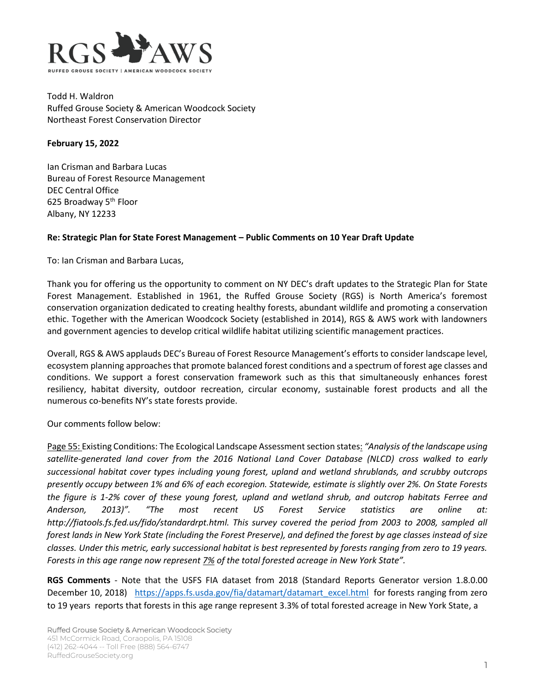

Todd H. Waldron Ruffed Grouse Society & American Woodcock Society Northeast Forest Conservation Director

## **February 15, 2022**

Ian Crisman and Barbara Lucas Bureau of Forest Resource Management DEC Central Office 625 Broadway 5<sup>th</sup> Floor Albany, NY 12233

## **Re: Strategic Plan for State Forest Management – Public Comments on 10 Year Draft Update**

To: Ian Crisman and Barbara Lucas,

Thank you for offering us the opportunity to comment on NY DEC's draft updates to the Strategic Plan for State Forest Management. Established in 1961, the Ruffed Grouse Society (RGS) is North America's foremost conservation organization dedicated to creating healthy forests, abundant wildlife and promoting a conservation ethic. Together with the American Woodcock Society (established in 2014), RGS & AWS work with landowners and government agencies to develop critical wildlife habitat utilizing scientific management practices.

Overall, RGS & AWS applauds DEC's Bureau of Forest Resource Management's efforts to consider landscape level, ecosystem planning approaches that promote balanced forest conditions and a spectrum of forest age classes and conditions. We support a forest conservation framework such as this that simultaneously enhances forest resiliency, habitat diversity, outdoor recreation, circular economy, sustainable forest products and all the numerous co-benefits NY's state forests provide.

Our comments follow below:

Page 55: Existing Conditions: The Ecological Landscape Assessment section states: "Analysis of the landscape using *satellite-generated land cover from the 2016 National Land Cover Database (NLCD) cross walked to early successional habitat cover types including young forest, upland and wetland shrublands, and scrubby outcrops presently occupy between 1% and 6% of each ecoregion. Statewide, estimate is slightly over 2%. On State Forests the figure is 1-2% cover of these young forest, upland and wetland shrub, and outcrop habitats Ferree and Anderson, 2013)". "The most recent US Forest Service statistics are online at: http://fiatools.fs.fed.us/fido/standardrpt.html. This survey covered the period from 2003 to 2008, sampled all forest lands in New York State (including the Forest Preserve), and defined the forest by age classes instead of size classes. Under this metric, early successional habitat is best represented by forests ranging from zero to 19 years. Forests in this age range now represent 7% of the total forested acreage in New York State".*

**RGS Comments** - Note that the USFS FIA dataset from 2018 (Standard Reports Generator version 1.8.0.00 December 10, 2018) [https://apps.fs.usda.gov/fia/datamart/datamart\\_excel.html](https://apps.fs.usda.gov/fia/datamart/datamart_excel.html) for forests ranging from zero to 19 years reports that forests in this age range represent 3.3% of total forested acreage in New York State, a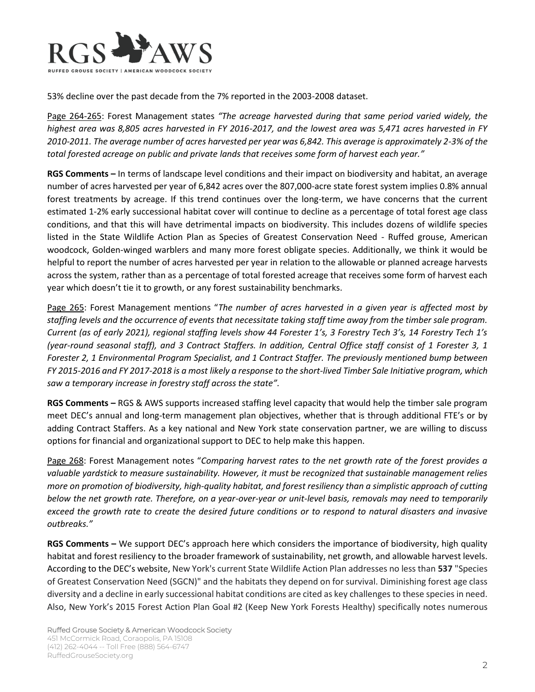

53% decline over the past decade from the 7% reported in the 2003-2008 dataset.

Page 264-265: Forest Management states *"The acreage harvested during that same period varied widely, the highest area was 8,805 acres harvested in FY 2016-2017, and the lowest area was 5,471 acres harvested in FY 2010-2011. The average number of acres harvested per year was 6,842. This average is approximately 2-3% of the total forested acreage on public and private lands that receives some form of harvest each year."*

**RGS Comments –** In terms of landscape level conditions and their impact on biodiversity and habitat, an average number of acres harvested per year of 6,842 acres over the 807,000-acre state forest system implies 0.8% annual forest treatments by acreage. If this trend continues over the long-term, we have concerns that the current estimated 1-2% early successional habitat cover will continue to decline as a percentage of total forest age class conditions, and that this will have detrimental impacts on biodiversity. This includes dozens of wildlife species listed in the State Wildlife Action Plan as Species of Greatest Conservation Need - Ruffed grouse, American woodcock, Golden-winged warblers and many more forest obligate species. Additionally, we think it would be helpful to report the number of acres harvested per year in relation to the allowable or planned acreage harvests across the system, rather than as a percentage of total forested acreage that receives some form of harvest each year which doesn't tie it to growth, or any forest sustainability benchmarks.

Page 265: Forest Management mentions "*The number of acres harvested in a given year is affected most by staffing levels and the occurrence of events that necessitate taking staff time away from the timber sale program. Current (as of early 2021), regional staffing levels show 44 Forester 1's, 3 Forestry Tech 3's, 14 Forestry Tech 1's (year-round seasonal staff), and 3 Contract Staffers. In addition, Central Office staff consist of 1 Forester 3, 1 Forester 2, 1 Environmental Program Specialist, and 1 Contract Staffer. The previously mentioned bump between FY 2015-2016 and FY 2017-2018 is a most likely a response to the short-lived Timber Sale Initiative program, which saw a temporary increase in forestry staff across the state".*

**RGS Comments –** RGS & AWS supports increased staffing level capacity that would help the timber sale program meet DEC's annual and long-term management plan objectives, whether that is through additional FTE's or by adding Contract Staffers. As a key national and New York state conservation partner, we are willing to discuss options for financial and organizational support to DEC to help make this happen.

Page 268: Forest Management notes "*Comparing harvest rates to the net growth rate of the forest provides a valuable yardstick to measure sustainability. However, it must be recognized that sustainable management relies more on promotion of biodiversity, high-quality habitat, and forest resiliency than a simplistic approach of cutting below the net growth rate. Therefore, on a year-over-year or unit-level basis, removals may need to temporarily exceed the growth rate to create the desired future conditions or to respond to natural disasters and invasive outbreaks."*

**RGS Comments –** We support DEC's approach here which considers the importance of biodiversity, high quality habitat and forest resiliency to the broader framework of sustainability, net growth, and allowable harvest levels. According to the DEC's website, New York's current State Wildlife Action Plan addresses no less than **537** "Species of Greatest Conservation Need (SGCN)" and the habitats they depend on for survival. Diminishing forest age class diversity and a decline in early successional habitat conditions are cited as key challenges to these species in need. Also, New York's 2015 Forest Action Plan Goal #2 (Keep New York Forests Healthy) specifically notes numerous